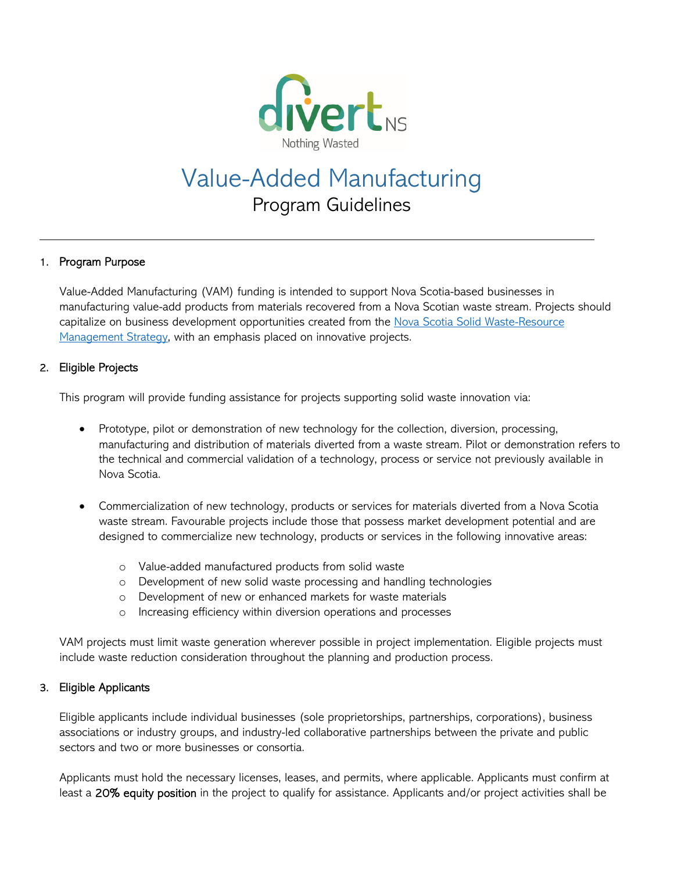

# Value-Added Manufacturing Program Guidelines

### 1. Program Purpose

 $\overline{a}$ 

Value-Added Manufacturing (VAM) funding is intended to support Nova Scotia-based businesses in manufacturing value-add products from materials recovered from a Nova Scotian waste stream. Projects should capitalize on business development opportunities created from the Nova Scotia Solid Waste-Resource Management Strategy, with an emphasis placed on innovative projects.

#### 2. Eligible Projects

This program will provide funding assistance for projects supporting solid waste innovation via:

- Prototype, pilot or demonstration of new technology for the collection, diversion, processing, manufacturing and distribution of materials diverted from a waste stream. Pilot or demonstration refers to the technical and commercial validation of a technology, process or service not previously available in Nova Scotia.
- Commercialization of new technology, products or services for materials diverted from a Nova Scotia waste stream. Favourable projects include those that possess market development potential and are designed to commercialize new technology, products or services in the following innovative areas:
	- o Value-added manufactured products from solid waste
	- o Development of new solid waste processing and handling technologies
	- o Development of new or enhanced markets for waste materials
	- o Increasing efficiency within diversion operations and processes

VAM projects must limit waste generation wherever possible in project implementation. Eligible projects must include waste reduction consideration throughout the planning and production process.

### 3. Eligible Applicants

Eligible applicants include individual businesses (sole proprietorships, partnerships, corporations), business associations or industry groups, and industry-led collaborative partnerships between the private and public sectors and two or more businesses or consortia.

Applicants must hold the necessary licenses, leases, and permits, where applicable. Applicants must confirm at least a 20% equity position in the project to qualify for assistance. Applicants and/or project activities shall be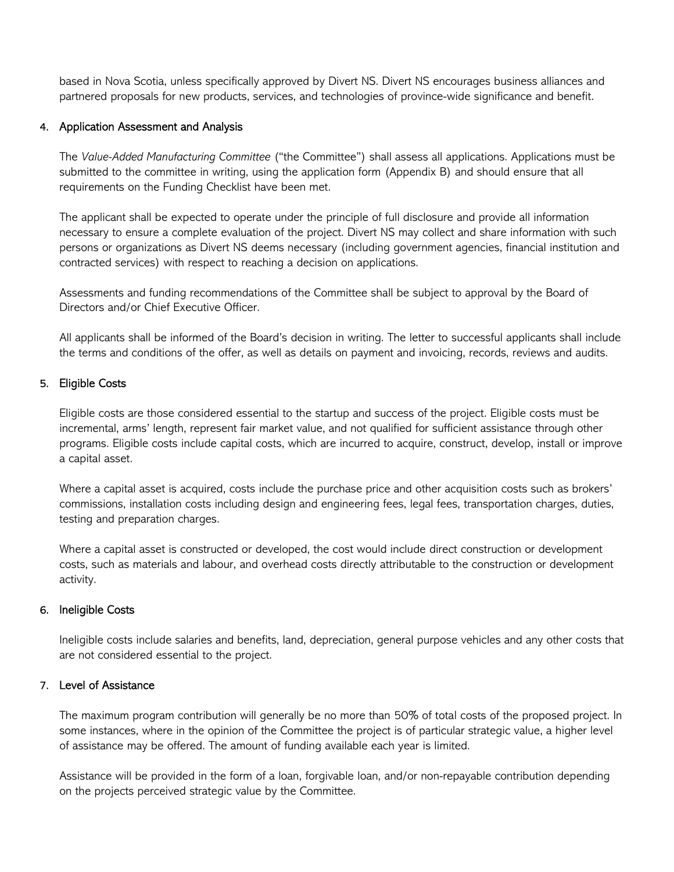based in Nova Scotia, unless specifically approved by Divert NS. Divert NS encourages business alliances and partnered proposals for new products, services, and technologies of province-wide significance and benefit.

#### 4. Application Assessment and Analysis

The *Value-Added Manufacturing Committee* ("the Committee") shall assess all applications. Applications must be submitted to the committee in writing, using the application form (Appendix B) and should ensure that all requirements on the Funding Checklist have been met.

The applicant shall be expected to operate under the principle of full disclosure and provide all information necessary to ensure a complete evaluation of the project. Divert NS may collect and share information with such persons or organizations as Divert NS deems necessary (including government agencies, financial institution and contracted services) with respect to reaching a decision on applications.

Assessments and funding recommendations of the Committee shall be subject to approval by the Board of Directors and/or Chief Executive Officer.

All applicants shall be informed of the Board's decision in writing. The letter to successful applicants shall include the terms and conditions of the offer, as well as details on payment and invoicing, records, reviews and audits.

#### 5. Eligible Costs

Eligible costs are those considered essential to the startup and success of the project. Eligible costs must be incremental, arms' length, represent fair market value, and not qualified for sufficient assistance through other programs. Eligible costs include capital costs, which are incurred to acquire, construct, develop, install or improve a capital asset.

Where a capital asset is acquired, costs include the purchase price and other acquisition costs such as brokers' commissions, installation costs including design and engineering fees, legal fees, transportation charges, duties, testing and preparation charges.

Where a capital asset is constructed or developed, the cost would include direct construction or development costs, such as materials and labour, and overhead costs directly attributable to the construction or development activity.

### 6. Ineligible Costs

Ineligible costs include salaries and benefits, land, depreciation, general purpose vehicles and any other costs that are not considered essential to the project.

### 7. Level of Assistance

The maximum program contribution will generally be no more than 50% of total costs of the proposed project. In some instances, where in the opinion of the Committee the project is of particular strategic value, a higher level of assistance may be offered. The amount of funding available each year is limited.

Assistance will be provided in the form of a loan, forgivable loan, and/or non-repayable contribution depending on the projects perceived strategic value by the Committee.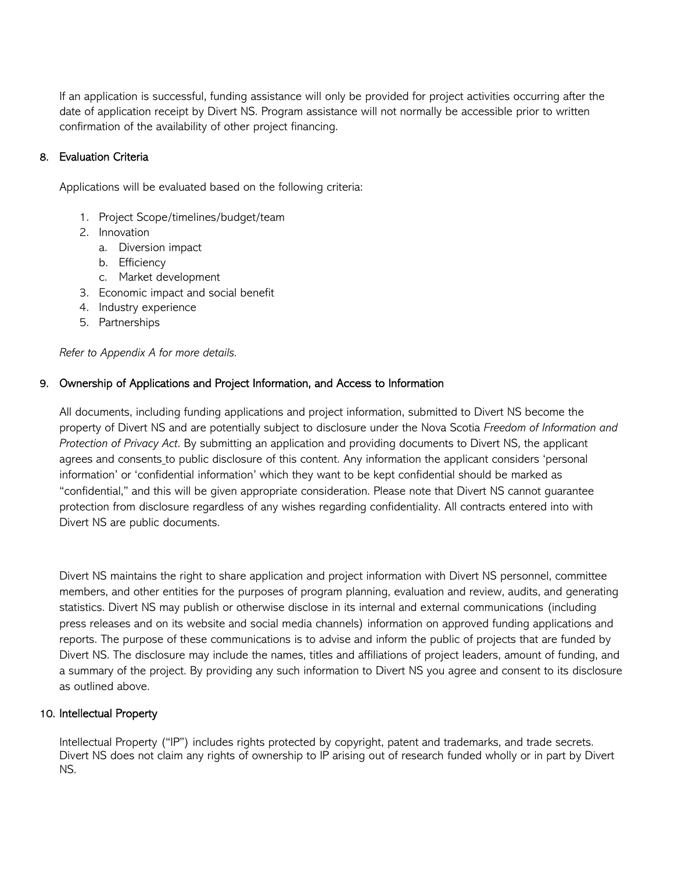If an application is successful, funding assistance will only be provided for project activities occurring after the date of application receipt by Divert NS. Program assistance will not normally be accessible prior to written confirmation of the availability of other project financing.

### 8. Evaluation Criteria

Applications will be evaluated based on the following criteria:

- 1. Project Scope/timelines/budget/team
- 2. Innovation
	- a. Diversion impact
	- b. Efficiency
	- c. Market development
- 3. Economic impact and social benefit
- 4. Industry experience
- 5. Partnerships

*Refer to Appendix A for more details.* 

#### 9. Ownership of Applications and Project Information, and Access to Information

All documents, including funding applications and project information, submitted to Divert NS become the property of Divert NS and are potentially subject to disclosure under the Nova Scotia *Freedom of Information and Protection of Privacy Act*. By submitting an application and providing documents to Divert NS, the applicant agrees and consents to public disclosure of this content. Any information the applicant considers 'personal information' or 'confidential information' which they want to be kept confidential should be marked as "confidential," and this will be given appropriate consideration. Please note that Divert NS cannot guarantee protection from disclosure regardless of any wishes regarding confidentiality. All contracts entered into with Divert NS are public documents.

Divert NS maintains the right to share application and project information with Divert NS personnel, committee members, and other entities for the purposes of program planning, evaluation and review, audits, and generating statistics. Divert NS may publish or otherwise disclose in its internal and external communications (including press releases and on its website and social media channels) information on approved funding applications and reports. The purpose of these communications is to advise and inform the public of projects that are funded by Divert NS. The disclosure may include the names, titles and affiliations of project leaders, amount of funding, and a summary of the project. By providing any such information to Divert NS you agree and consent to its disclosure as outlined above.

#### 10. Intellectual Property

Intellectual Property ("IP") includes rights protected by copyright, patent and trademarks, and trade secrets. Divert NS does not claim any rights of ownership to IP arising out of research funded wholly or in part by Divert NS.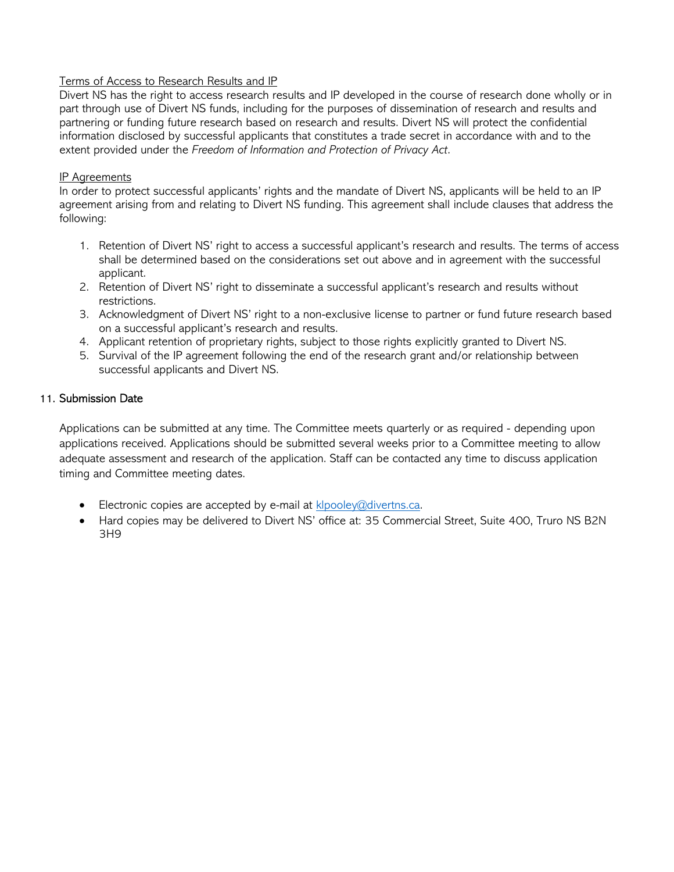#### Terms of Access to Research Results and IP

Divert NS has the right to access research results and IP developed in the course of research done wholly or in part through use of Divert NS funds, including for the purposes of dissemination of research and results and partnering or funding future research based on research and results. Divert NS will protect the confidential information disclosed by successful applicants that constitutes a trade secret in accordance with and to the extent provided under the *Freedom of Information and Protection of Privacy Act*.

### IP Agreements

In order to protect successful applicants' rights and the mandate of Divert NS, applicants will be held to an IP agreement arising from and relating to Divert NS funding. This agreement shall include clauses that address the following:

- 1. Retention of Divert NS' right to access a successful applicant's research and results. The terms of access shall be determined based on the considerations set out above and in agreement with the successful applicant.
- 2. Retention of Divert NS' right to disseminate a successful applicant's research and results without restrictions.
- 3. Acknowledgment of Divert NS' right to a non-exclusive license to partner or fund future research based on a successful applicant's research and results.
- 4. Applicant retention of proprietary rights, subject to those rights explicitly granted to Divert NS.
- 5. Survival of the IP agreement following the end of the research grant and/or relationship between successful applicants and Divert NS.

### 11. Submission Date

Applications can be submitted at any time. The Committee meets quarterly or as required - depending upon applications received. Applications should be submitted several weeks prior to a Committee meeting to allow adequate assessment and research of the application. Staff can be contacted any time to discuss application timing and Committee meeting dates.

- Electronic copies are accepted by e-mail at  $k$ lpooley@divertns.ca.
- Hard copies may be delivered to Divert NS' office at: 35 Commercial Street, Suite 400, Truro NS B2N 3H9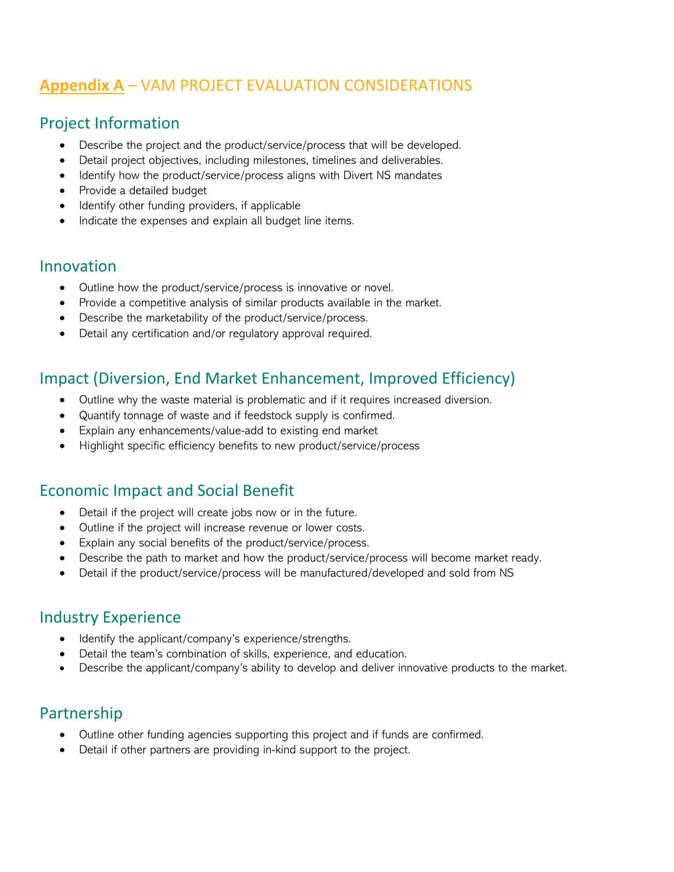# **Appendix A** – VAM PROJECT EVALUATION CONSIDERATIONS

# Project Information

- Describe the project and the product/service/process that will be developed.
- Detail project objectives, including milestones, timelines and deliverables.
- Identify how the product/service/process aligns with Divert NS mandates
- Provide a detailed budget
- Identify other funding providers, if applicable
- Indicate the expenses and explain all budget line items.

## Innovation

- Outline how the product/service/process is innovative or novel.
- Provide a competitive analysis of similar products available in the market.
- Describe the marketability of the product/service/process.
- Detail any certification and/or regulatory approval required.

# Impact (Diversion, End Market Enhancement, Improved Efficiency)

- Outline why the waste material is problematic and if it requires increased diversion.
- Quantify tonnage of waste and if feedstock supply is confirmed.
- Explain any enhancements/value-add to existing end market
- Highlight specific efficiency benefits to new product/service/process

# Economic Impact and Social Benefit

- Detail if the project will create jobs now or in the future.
- Outline if the project will increase revenue or lower costs.
- Explain any social benefits of the product/service/process.
- Describe the path to market and how the product/service/process will become market ready.
- Detail if the product/service/process will be manufactured/developed and sold from NS

# Industry Experience

- Identify the applicant/company's experience/strengths.
- Detail the team's combination of skills, experience, and education.
- Describe the applicant/company's ability to develop and deliver innovative products to the market.

# Partnership

- Outline other funding agencies supporting this project and if funds are confirmed.
- Detail if other partners are providing in-kind support to the project.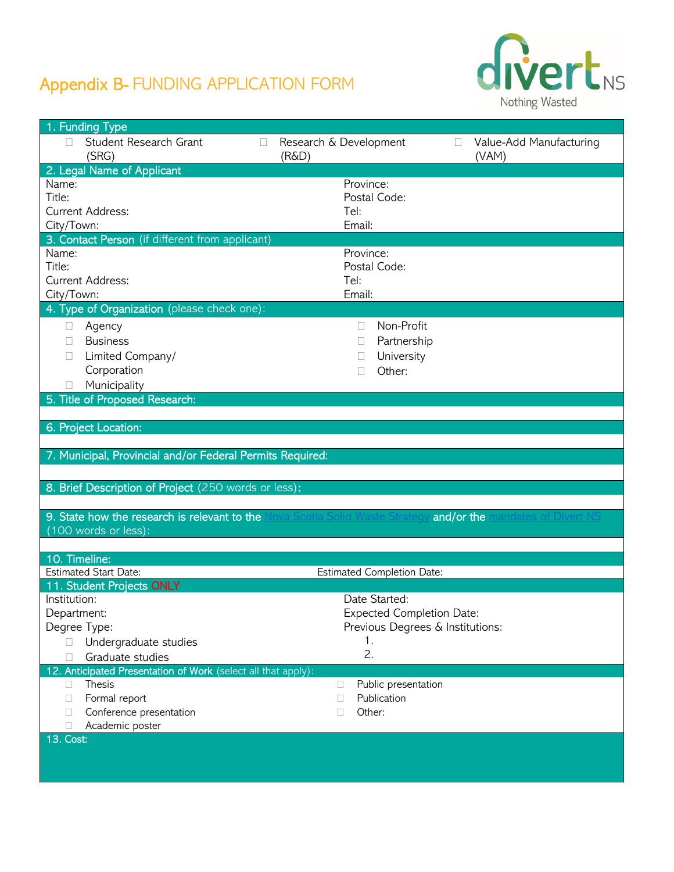# Appendix B- FUNDING APPLICATION FORM



| 1. Funding Type                                                                                                |                                   |                                         |  |  |
|----------------------------------------------------------------------------------------------------------------|-----------------------------------|-----------------------------------------|--|--|
| Student Research Grant<br>П<br>$\Box$                                                                          | Research & Development            | Value-Add Manufacturing<br>$\mathbf{L}$ |  |  |
| (SRG)                                                                                                          | (R&D)                             | (VAM)                                   |  |  |
| 2. Legal Name of Applicant                                                                                     |                                   |                                         |  |  |
| Name:                                                                                                          | Province:                         |                                         |  |  |
| Title:                                                                                                         | Postal Code:                      |                                         |  |  |
| <b>Current Address:</b>                                                                                        | Tel:                              |                                         |  |  |
| City/Town:                                                                                                     | Email:                            |                                         |  |  |
| 3. Contact Person (if different from applicant)                                                                |                                   |                                         |  |  |
| Name:                                                                                                          | Province:                         |                                         |  |  |
| Title:                                                                                                         | Postal Code:                      |                                         |  |  |
| <b>Current Address:</b>                                                                                        | Tel:                              |                                         |  |  |
| City/Town:                                                                                                     | Email:                            |                                         |  |  |
| 4. Type of Organization (please check one):                                                                    |                                   |                                         |  |  |
| Agency<br>⊔                                                                                                    | Non-Profit<br>$\Box$              |                                         |  |  |
| <b>Business</b>                                                                                                |                                   |                                         |  |  |
| П                                                                                                              | Partnership                       |                                         |  |  |
| Limited Company/<br>П                                                                                          | University<br>П                   |                                         |  |  |
| Corporation                                                                                                    | Other:                            |                                         |  |  |
| Municipality                                                                                                   |                                   |                                         |  |  |
| 5. Title of Proposed Research:                                                                                 |                                   |                                         |  |  |
|                                                                                                                |                                   |                                         |  |  |
| 6. Project Location:                                                                                           |                                   |                                         |  |  |
|                                                                                                                |                                   |                                         |  |  |
| 7. Municipal, Provincial and/or Federal Permits Required:                                                      |                                   |                                         |  |  |
|                                                                                                                |                                   |                                         |  |  |
| 8. Brief Description of Project (250 words or less):                                                           |                                   |                                         |  |  |
|                                                                                                                |                                   |                                         |  |  |
| 9. State how the research is relevant to the Nova Scotia Solid Waste Strategy and/or the mandates of Divert NS |                                   |                                         |  |  |
| (100 words or less):                                                                                           |                                   |                                         |  |  |
|                                                                                                                |                                   |                                         |  |  |
| 10. Timeline:                                                                                                  |                                   |                                         |  |  |
| <b>Estimated Start Date:</b>                                                                                   | <b>Estimated Completion Date:</b> |                                         |  |  |
| 11. Student Projects ONLY                                                                                      |                                   |                                         |  |  |
| Institution:                                                                                                   | Date Started:                     |                                         |  |  |
| Department:                                                                                                    | <b>Expected Completion Date:</b>  |                                         |  |  |
| Degree Type:                                                                                                   | Previous Degrees & Institutions:  |                                         |  |  |
|                                                                                                                | 1.                                |                                         |  |  |
| Undergraduate studies<br>П                                                                                     | 2.                                |                                         |  |  |
| Graduate studies                                                                                               |                                   |                                         |  |  |
| 12. Anticipated Presentation of Work (select all that apply):                                                  |                                   |                                         |  |  |
| Thesis<br>$\Box$                                                                                               | Public presentation<br>□          |                                         |  |  |
| Formal report<br>П.                                                                                            | Publication<br>П                  |                                         |  |  |
| Conference presentation<br>П                                                                                   | Other:<br>П                       |                                         |  |  |
| Academic poster                                                                                                |                                   |                                         |  |  |
| 13. Cost:                                                                                                      |                                   |                                         |  |  |
|                                                                                                                |                                   |                                         |  |  |
|                                                                                                                |                                   |                                         |  |  |